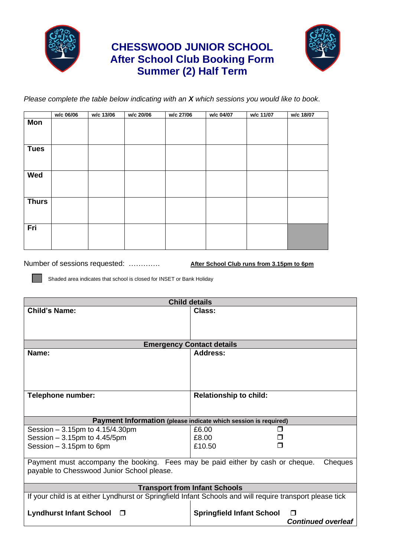

## **CHESSWOOD JUNIOR SCHOOL After School Club Booking Form Summer (2) Half Term**



*Please complete the table below indicating with an X which sessions you would like to book*.

|              | w/c 06/06 | w/c 13/06 | w/c 20/06 | w/c 27/06 | w/c 04/07 | w/c 11/07 | w/c 18/07 |
|--------------|-----------|-----------|-----------|-----------|-----------|-----------|-----------|
| Mon          |           |           |           |           |           |           |           |
| <b>Tues</b>  |           |           |           |           |           |           |           |
| Wed          |           |           |           |           |           |           |           |
| <b>Thurs</b> |           |           |           |           |           |           |           |
| Fri          |           |           |           |           |           |           |           |

Number of sessions requested: …………. **After School Club runs from 3.15pm to 6pm**

Shaded area indicates that school is closed for INSET or Bank Holiday

| <b>Child details</b>                                                                                      |                                            |  |  |  |  |  |
|-----------------------------------------------------------------------------------------------------------|--------------------------------------------|--|--|--|--|--|
| <b>Child's Name:</b>                                                                                      | Class:                                     |  |  |  |  |  |
|                                                                                                           |                                            |  |  |  |  |  |
|                                                                                                           |                                            |  |  |  |  |  |
| <b>Emergency Contact details</b>                                                                          |                                            |  |  |  |  |  |
| Name:                                                                                                     | <b>Address:</b>                            |  |  |  |  |  |
|                                                                                                           |                                            |  |  |  |  |  |
|                                                                                                           |                                            |  |  |  |  |  |
|                                                                                                           |                                            |  |  |  |  |  |
|                                                                                                           |                                            |  |  |  |  |  |
| <b>Telephone number:</b>                                                                                  | <b>Relationship to child:</b>              |  |  |  |  |  |
|                                                                                                           |                                            |  |  |  |  |  |
| Payment Information (please indicate which session is required)                                           |                                            |  |  |  |  |  |
| Session $-3.15$ pm to $4.15/4.30$ pm                                                                      | £6.00                                      |  |  |  |  |  |
| Session $-3.15$ pm to $4.45/5$ pm                                                                         | £8.00                                      |  |  |  |  |  |
| Session $-3.15$ pm to 6pm                                                                                 | £10.50                                     |  |  |  |  |  |
|                                                                                                           |                                            |  |  |  |  |  |
| Payment must accompany the booking. Fees may be paid either by cash or cheque.<br>Cheques                 |                                            |  |  |  |  |  |
| payable to Chesswood Junior School please.                                                                |                                            |  |  |  |  |  |
| <b>Transport from Infant Schools</b>                                                                      |                                            |  |  |  |  |  |
| If your child is at either Lyndhurst or Springfield Infant Schools and will require transport please tick |                                            |  |  |  |  |  |
|                                                                                                           |                                            |  |  |  |  |  |
| <b>Lyndhurst Infant School</b><br>$\Box$                                                                  | <b>Springfield Infant School</b><br>$\Box$ |  |  |  |  |  |
|                                                                                                           | <b>Continued overleaf</b>                  |  |  |  |  |  |